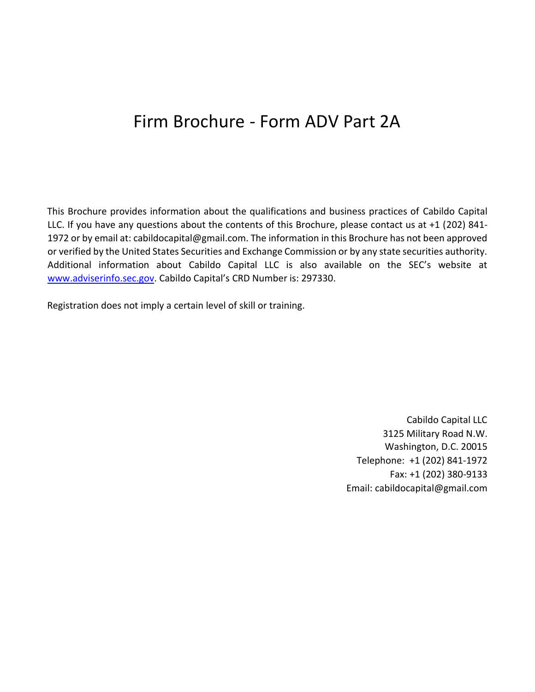# Firm Brochure - Form ADV Part 2A

This Brochure provides information about the qualifications and business practices of Cabildo Capital LLC. If you have any questions about the contents of this Brochure, please contact us at +1 (202) 841- 1972 or by email at: cabildocapital@gmail.com. The information in this Brochure has not been approved or verified by the United States Securities and Exchange Commission or by any state securities authority. Additional information about Cabildo Capital LLC is also available on the SEC's website at www.adviserinfo.sec.gov. Cabildo Capital's CRD Number is: 297330.

Registration does not imply a certain level of skill or training.

Cabildo Capital LLC 3125 Military Road N.W. Washington, D.C. 20015 Telephone: +1 (202) 841-1972 Fax: +1 (202) 380-9133 Email: cabildocapital@gmail.com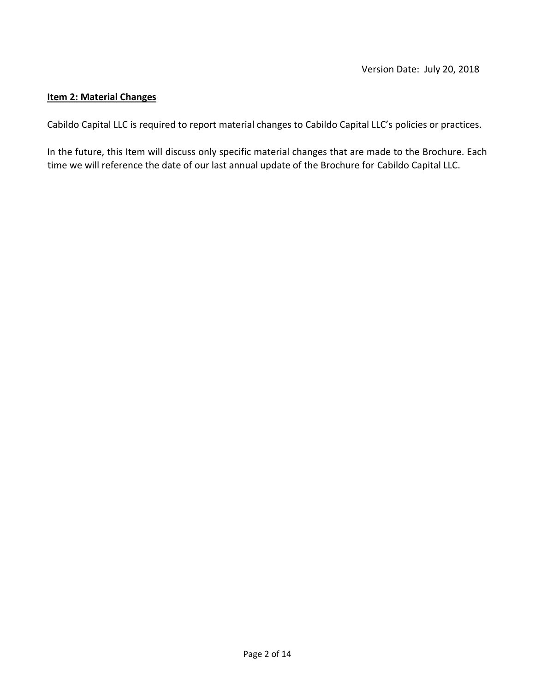#### **Item 2: Material Changes**

Cabildo Capital LLC is required to report material changes to Cabildo Capital LLC's policies or practices.

In the future, this Item will discuss only specific material changes that are made to the Brochure. Each time we will reference the date of our last annual update of the Brochure for Cabildo Capital LLC.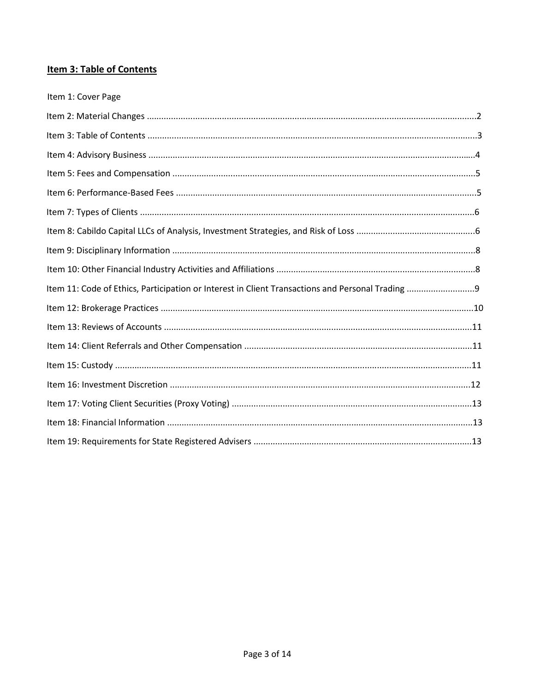# **Item 3: Table of Contents**

| Item 1: Cover Page |
|--------------------|
|                    |
|                    |
|                    |
|                    |
|                    |
|                    |
|                    |
|                    |
|                    |
|                    |
|                    |
|                    |
|                    |
|                    |
|                    |
|                    |
|                    |
|                    |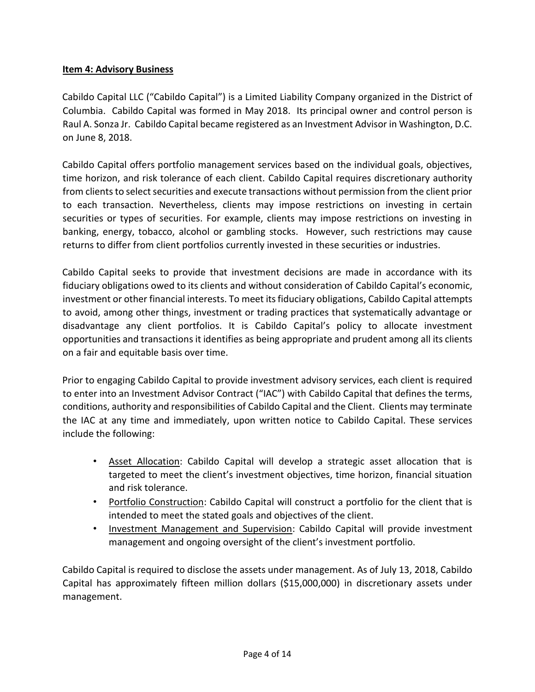# **Item 4: Advisory Business**

Cabildo Capital LLC ("Cabildo Capital") is a Limited Liability Company organized in the District of Columbia. Cabildo Capital was formed in May 2018. Its principal owner and control person is Raul A. Sonza Jr. Cabildo Capital became registered as an Investment Advisor in Washington, D.C. on June 8, 2018.

Cabildo Capital offers portfolio management services based on the individual goals, objectives, time horizon, and risk tolerance of each client. Cabildo Capital requires discretionary authority from clients to select securities and execute transactions without permission from the client prior to each transaction. Nevertheless, clients may impose restrictions on investing in certain securities or types of securities. For example, clients may impose restrictions on investing in banking, energy, tobacco, alcohol or gambling stocks. However, such restrictions may cause returns to differ from client portfolios currently invested in these securities or industries.

Cabildo Capital seeks to provide that investment decisions are made in accordance with its fiduciary obligations owed to its clients and without consideration of Cabildo Capital's economic, investment or other financial interests. To meet its fiduciary obligations, Cabildo Capital attempts to avoid, among other things, investment or trading practices that systematically advantage or disadvantage any client portfolios. It is Cabildo Capital's policy to allocate investment opportunities and transactions it identifies as being appropriate and prudent among all its clients on a fair and equitable basis over time.

Prior to engaging Cabildo Capital to provide investment advisory services, each client is required to enter into an Investment Advisor Contract ("IAC") with Cabildo Capital that defines the terms, conditions, authority and responsibilities of Cabildo Capital and the Client. Clients may terminate the IAC at any time and immediately, upon written notice to Cabildo Capital. These services include the following:

- Asset Allocation: Cabildo Capital will develop a strategic asset allocation that is targeted to meet the client's investment objectives, time horizon, financial situation and risk tolerance.
- Portfolio Construction: Cabildo Capital will construct a portfolio for the client that is intended to meet the stated goals and objectives of the client.
- Investment Management and Supervision: Cabildo Capital will provide investment management and ongoing oversight of the client's investment portfolio.

Cabildo Capital is required to disclose the assets under management. As of July 13, 2018, Cabildo Capital has approximately fifteen million dollars (\$15,000,000) in discretionary assets under management.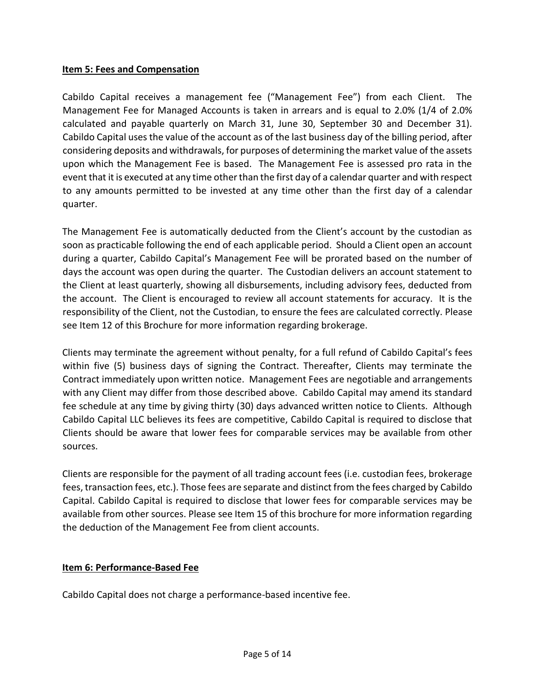#### **Item 5: Fees and Compensation**

Cabildo Capital receives a management fee ("Management Fee") from each Client. The Management Fee for Managed Accounts is taken in arrears and is equal to 2.0% (1/4 of 2.0% calculated and payable quarterly on March 31, June 30, September 30 and December 31). Cabildo Capital uses the value of the account as of the last business day of the billing period, after considering deposits and withdrawals, for purposes of determining the market value of the assets upon which the Management Fee is based. The Management Fee is assessed pro rata in the event that it is executed at any time other than the first day of a calendar quarter and with respect to any amounts permitted to be invested at any time other than the first day of a calendar quarter.

The Management Fee is automatically deducted from the Client's account by the custodian as soon as practicable following the end of each applicable period. Should a Client open an account during a quarter, Cabildo Capital's Management Fee will be prorated based on the number of days the account was open during the quarter. The Custodian delivers an account statement to the Client at least quarterly, showing all disbursements, including advisory fees, deducted from the account. The Client is encouraged to review all account statements for accuracy. It is the responsibility of the Client, not the Custodian, to ensure the fees are calculated correctly. Please see Item 12 of this Brochure for more information regarding brokerage.

Clients may terminate the agreement without penalty, for a full refund of Cabildo Capital's fees within five (5) business days of signing the Contract. Thereafter, Clients may terminate the Contract immediately upon written notice. Management Fees are negotiable and arrangements with any Client may differ from those described above. Cabildo Capital may amend its standard fee schedule at any time by giving thirty (30) days advanced written notice to Clients. Although Cabildo Capital LLC believes its fees are competitive, Cabildo Capital is required to disclose that Clients should be aware that lower fees for comparable services may be available from other sources.

Clients are responsible for the payment of all trading account fees (i.e. custodian fees, brokerage fees, transaction fees, etc.). Those fees are separate and distinct from the fees charged by Cabildo Capital. Cabildo Capital is required to disclose that lower fees for comparable services may be available from other sources. Please see Item 15 of this brochure for more information regarding the deduction of the Management Fee from client accounts.

#### **Item 6: Performance-Based Fee**

Cabildo Capital does not charge a performance-based incentive fee.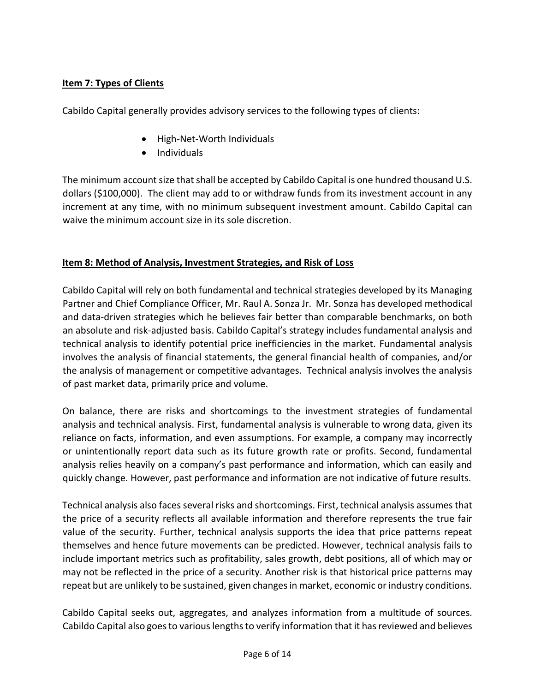# **Item 7: Types of Clients**

Cabildo Capital generally provides advisory services to the following types of clients:

- High-Net-Worth Individuals
- Individuals

The minimum account size that shall be accepted by Cabildo Capital is one hundred thousand U.S. dollars (\$100,000). The client may add to or withdraw funds from its investment account in any increment at any time, with no minimum subsequent investment amount. Cabildo Capital can waive the minimum account size in its sole discretion.

# **Item 8: Method of Analysis, Investment Strategies, and Risk of Loss**

Cabildo Capital will rely on both fundamental and technical strategies developed by its Managing Partner and Chief Compliance Officer, Mr. Raul A. Sonza Jr. Mr. Sonza has developed methodical and data-driven strategies which he believes fair better than comparable benchmarks, on both an absolute and risk-adjusted basis. Cabildo Capital's strategy includes fundamental analysis and technical analysis to identify potential price inefficiencies in the market. Fundamental analysis involves the analysis of financial statements, the general financial health of companies, and/or the analysis of management or competitive advantages. Technical analysis involves the analysis of past market data, primarily price and volume.

On balance, there are risks and shortcomings to the investment strategies of fundamental analysis and technical analysis. First, fundamental analysis is vulnerable to wrong data, given its reliance on facts, information, and even assumptions. For example, a company may incorrectly or unintentionally report data such as its future growth rate or profits. Second, fundamental analysis relies heavily on a company's past performance and information, which can easily and quickly change. However, past performance and information are not indicative of future results.

Technical analysis also faces several risks and shortcomings. First, technical analysis assumes that the price of a security reflects all available information and therefore represents the true fair value of the security. Further, technical analysis supports the idea that price patterns repeat themselves and hence future movements can be predicted. However, technical analysis fails to include important metrics such as profitability, sales growth, debt positions, all of which may or may not be reflected in the price of a security. Another risk is that historical price patterns may repeat but are unlikely to be sustained, given changes in market, economic or industry conditions.

Cabildo Capital seeks out, aggregates, and analyzes information from a multitude of sources. Cabildo Capital also goes to various lengths to verify information that it has reviewed and believes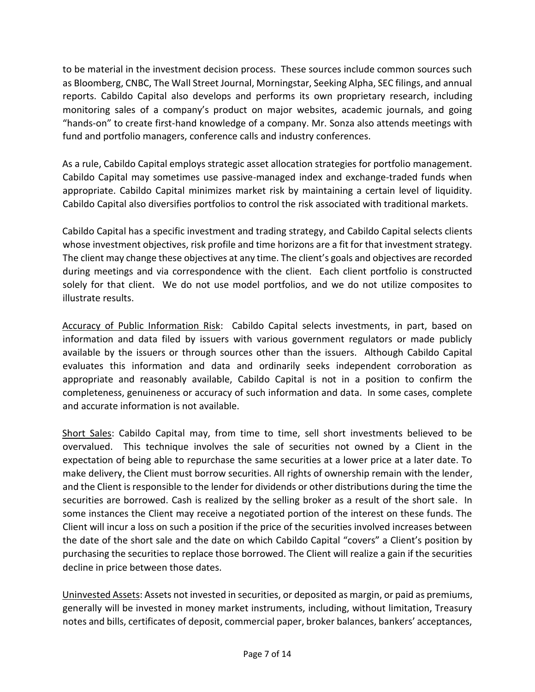to be material in the investment decision process. These sources include common sources such as Bloomberg, CNBC, The Wall Street Journal, Morningstar, Seeking Alpha, SEC filings, and annual reports. Cabildo Capital also develops and performs its own proprietary research, including monitoring sales of a company's product on major websites, academic journals, and going "hands-on" to create first-hand knowledge of a company. Mr. Sonza also attends meetings with fund and portfolio managers, conference calls and industry conferences.

As a rule, Cabildo Capital employs strategic asset allocation strategies for portfolio management. Cabildo Capital may sometimes use passive-managed index and exchange-traded funds when appropriate. Cabildo Capital minimizes market risk by maintaining a certain level of liquidity. Cabildo Capital also diversifies portfolios to control the risk associated with traditional markets.

Cabildo Capital has a specific investment and trading strategy, and Cabildo Capital selects clients whose investment objectives, risk profile and time horizons are a fit for that investment strategy. The client may change these objectives at any time. The client's goals and objectives are recorded during meetings and via correspondence with the client. Each client portfolio is constructed solely for that client. We do not use model portfolios, and we do not utilize composites to illustrate results.

Accuracy of Public Information Risk: Cabildo Capital selects investments, in part, based on information and data filed by issuers with various government regulators or made publicly available by the issuers or through sources other than the issuers. Although Cabildo Capital evaluates this information and data and ordinarily seeks independent corroboration as appropriate and reasonably available, Cabildo Capital is not in a position to confirm the completeness, genuineness or accuracy of such information and data. In some cases, complete and accurate information is not available.

Short Sales: Cabildo Capital may, from time to time, sell short investments believed to be overvalued. This technique involves the sale of securities not owned by a Client in the expectation of being able to repurchase the same securities at a lower price at a later date. To make delivery, the Client must borrow securities. All rights of ownership remain with the lender, and the Client is responsible to the lender for dividends or other distributions during the time the securities are borrowed. Cash is realized by the selling broker as a result of the short sale. In some instances the Client may receive a negotiated portion of the interest on these funds. The Client will incur a loss on such a position if the price of the securities involved increases between the date of the short sale and the date on which Cabildo Capital "covers" a Client's position by purchasing the securities to replace those borrowed. The Client will realize a gain if the securities decline in price between those dates.

Uninvested Assets: Assets not invested in securities, or deposited as margin, or paid as premiums, generally will be invested in money market instruments, including, without limitation, Treasury notes and bills, certificates of deposit, commercial paper, broker balances, bankers' acceptances,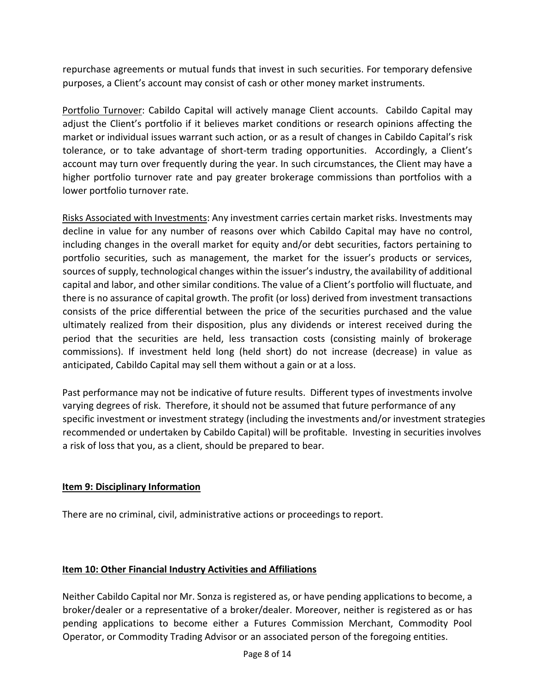repurchase agreements or mutual funds that invest in such securities. For temporary defensive purposes, a Client's account may consist of cash or other money market instruments.

Portfolio Turnover: Cabildo Capital will actively manage Client accounts. Cabildo Capital may adjust the Client's portfolio if it believes market conditions or research opinions affecting the market or individual issues warrant such action, or as a result of changes in Cabildo Capital's risk tolerance, or to take advantage of short-term trading opportunities. Accordingly, a Client's account may turn over frequently during the year. In such circumstances, the Client may have a higher portfolio turnover rate and pay greater brokerage commissions than portfolios with a lower portfolio turnover rate.

Risks Associated with Investments: Any investment carries certain market risks. Investments may decline in value for any number of reasons over which Cabildo Capital may have no control, including changes in the overall market for equity and/or debt securities, factors pertaining to portfolio securities, such as management, the market for the issuer's products or services, sources of supply, technological changes within the issuer's industry, the availability of additional capital and labor, and other similar conditions. The value of a Client's portfolio will fluctuate, and there is no assurance of capital growth. The profit (or loss) derived from investment transactions consists of the price differential between the price of the securities purchased and the value ultimately realized from their disposition, plus any dividends or interest received during the period that the securities are held, less transaction costs (consisting mainly of brokerage commissions). If investment held long (held short) do not increase (decrease) in value as anticipated, Cabildo Capital may sell them without a gain or at a loss.

Past performance may not be indicative of future results. Different types of investments involve varying degrees of risk. Therefore, it should not be assumed that future performance of any specific investment or investment strategy (including the investments and/or investment strategies recommended or undertaken by Cabildo Capital) will be profitable. Investing in securities involves a risk of loss that you, as a client, should be prepared to bear.

# **Item 9: Disciplinary Information**

There are no criminal, civil, administrative actions or proceedings to report.

# **Item 10: Other Financial Industry Activities and Affiliations**

Neither Cabildo Capital nor Mr. Sonza is registered as, or have pending applications to become, a broker/dealer or a representative of a broker/dealer. Moreover, neither is registered as or has pending applications to become either a Futures Commission Merchant, Commodity Pool Operator, or Commodity Trading Advisor or an associated person of the foregoing entities.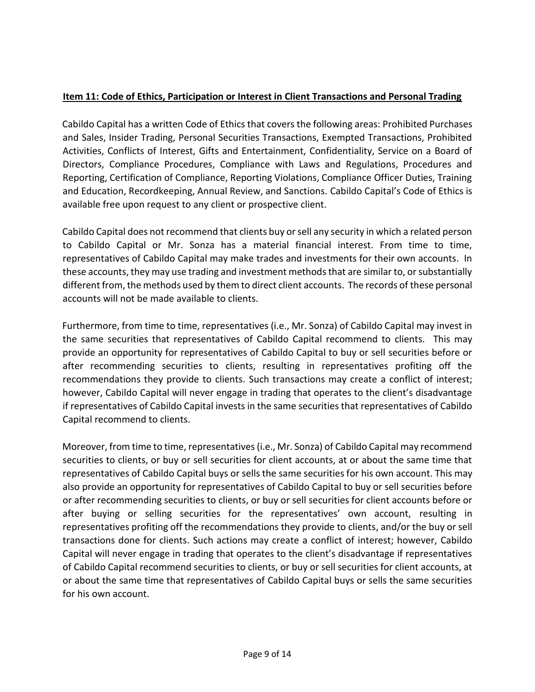# **Item 11: Code of Ethics, Participation or Interest in Client Transactions and Personal Trading**

Cabildo Capital has a written Code of Ethics that covers the following areas: Prohibited Purchases and Sales, Insider Trading, Personal Securities Transactions, Exempted Transactions, Prohibited Activities, Conflicts of Interest, Gifts and Entertainment, Confidentiality, Service on a Board of Directors, Compliance Procedures, Compliance with Laws and Regulations, Procedures and Reporting, Certification of Compliance, Reporting Violations, Compliance Officer Duties, Training and Education, Recordkeeping, Annual Review, and Sanctions. Cabildo Capital's Code of Ethics is available free upon request to any client or prospective client.

Cabildo Capital does not recommend that clients buy or sell any security in which a related person to Cabildo Capital or Mr. Sonza has a material financial interest. From time to time, representatives of Cabildo Capital may make trades and investments for their own accounts. In these accounts, they may use trading and investment methods that are similar to, or substantially different from, the methods used by them to direct client accounts. The records of these personal accounts will not be made available to clients.

Furthermore, from time to time, representatives (i.e., Mr. Sonza) of Cabildo Capital may invest in the same securities that representatives of Cabildo Capital recommend to clients. This may provide an opportunity for representatives of Cabildo Capital to buy or sell securities before or after recommending securities to clients, resulting in representatives profiting off the recommendations they provide to clients. Such transactions may create a conflict of interest; however, Cabildo Capital will never engage in trading that operates to the client's disadvantage if representatives of Cabildo Capital invests in the same securities that representatives of Cabildo Capital recommend to clients.

Moreover, from time to time, representatives (i.e., Mr. Sonza) of Cabildo Capital may recommend securities to clients, or buy or sell securities for client accounts, at or about the same time that representatives of Cabildo Capital buys or sells the same securities for his own account. This may also provide an opportunity for representatives of Cabildo Capital to buy or sell securities before or after recommending securities to clients, or buy or sell securities for client accounts before or after buying or selling securities for the representatives' own account, resulting in representatives profiting off the recommendations they provide to clients, and/or the buy or sell transactions done for clients. Such actions may create a conflict of interest; however, Cabildo Capital will never engage in trading that operates to the client's disadvantage if representatives of Cabildo Capital recommend securities to clients, or buy or sell securities for client accounts, at or about the same time that representatives of Cabildo Capital buys or sells the same securities for his own account.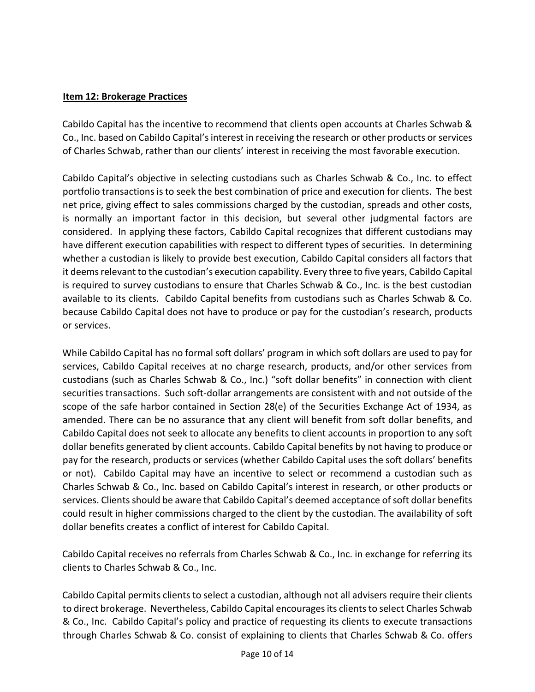#### **Item 12: Brokerage Practices**

Cabildo Capital has the incentive to recommend that clients open accounts at Charles Schwab & Co., Inc. based on Cabildo Capital's interest in receiving the research or other products or services of Charles Schwab, rather than our clients' interest in receiving the most favorable execution.

Cabildo Capital's objective in selecting custodians such as Charles Schwab & Co., Inc. to effect portfolio transactions is to seek the best combination of price and execution for clients. The best net price, giving effect to sales commissions charged by the custodian, spreads and other costs, is normally an important factor in this decision, but several other judgmental factors are considered. In applying these factors, Cabildo Capital recognizes that different custodians may have different execution capabilities with respect to different types of securities. In determining whether a custodian is likely to provide best execution, Cabildo Capital considers all factors that it deems relevant to the custodian's execution capability. Every three to five years, Cabildo Capital is required to survey custodians to ensure that Charles Schwab & Co., Inc. is the best custodian available to its clients. Cabildo Capital benefits from custodians such as Charles Schwab & Co. because Cabildo Capital does not have to produce or pay for the custodian's research, products or services.

While Cabildo Capital has no formal soft dollars' program in which soft dollars are used to pay for services, Cabildo Capital receives at no charge research, products, and/or other services from custodians (such as Charles Schwab & Co., Inc.) "soft dollar benefits" in connection with client securities transactions. Such soft-dollar arrangements are consistent with and not outside of the scope of the safe harbor contained in Section 28(e) of the Securities Exchange Act of 1934, as amended. There can be no assurance that any client will benefit from soft dollar benefits, and Cabildo Capital does not seek to allocate any benefits to client accounts in proportion to any soft dollar benefits generated by client accounts. Cabildo Capital benefits by not having to produce or pay for the research, products or services (whether Cabildo Capital uses the soft dollars' benefits or not). Cabildo Capital may have an incentive to select or recommend a custodian such as Charles Schwab & Co., Inc. based on Cabildo Capital's interest in research, or other products or services. Clients should be aware that Cabildo Capital's deemed acceptance of soft dollar benefits could result in higher commissions charged to the client by the custodian. The availability of soft dollar benefits creates a conflict of interest for Cabildo Capital.

Cabildo Capital receives no referrals from Charles Schwab & Co., Inc. in exchange for referring its clients to Charles Schwab & Co., Inc.

Cabildo Capital permits clients to select a custodian, although not all advisers require their clients to direct brokerage. Nevertheless, Cabildo Capital encourages its clients to select Charles Schwab & Co., Inc. Cabildo Capital's policy and practice of requesting its clients to execute transactions through Charles Schwab & Co. consist of explaining to clients that Charles Schwab & Co. offers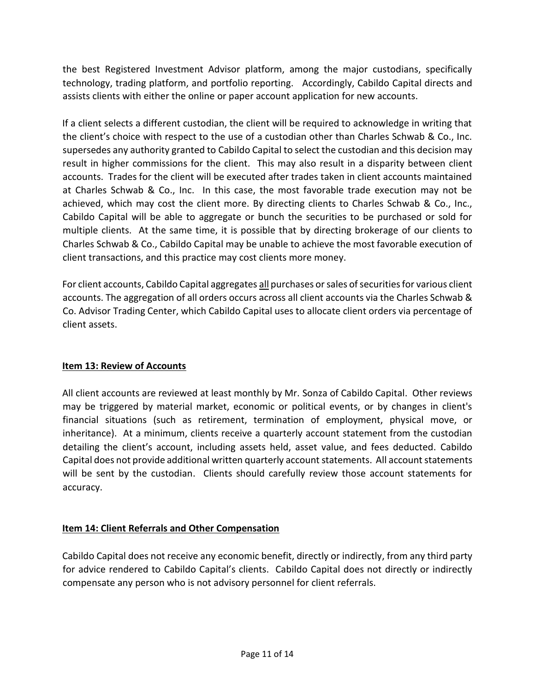the best Registered Investment Advisor platform, among the major custodians, specifically technology, trading platform, and portfolio reporting. Accordingly, Cabildo Capital directs and assists clients with either the online or paper account application for new accounts.

If a client selects a different custodian, the client will be required to acknowledge in writing that the client's choice with respect to the use of a custodian other than Charles Schwab & Co., Inc. supersedes any authority granted to Cabildo Capital to select the custodian and this decision may result in higher commissions for the client. This may also result in a disparity between client accounts. Trades for the client will be executed after trades taken in client accounts maintained at Charles Schwab & Co., Inc. In this case, the most favorable trade execution may not be achieved, which may cost the client more. By directing clients to Charles Schwab & Co., Inc., Cabildo Capital will be able to aggregate or bunch the securities to be purchased or sold for multiple clients. At the same time, it is possible that by directing brokerage of our clients to Charles Schwab & Co., Cabildo Capital may be unable to achieve the most favorable execution of client transactions, and this practice may cost clients more money.

For client accounts, Cabildo Capital aggregates all purchases or sales of securities for various client accounts. The aggregation of all orders occurs across all client accounts via the Charles Schwab & Co. Advisor Trading Center, which Cabildo Capital uses to allocate client orders via percentage of client assets.

# **Item 13: Review of Accounts**

All client accounts are reviewed at least monthly by Mr. Sonza of Cabildo Capital. Other reviews may be triggered by material market, economic or political events, or by changes in client's financial situations (such as retirement, termination of employment, physical move, or inheritance). At a minimum, clients receive a quarterly account statement from the custodian detailing the client's account, including assets held, asset value, and fees deducted. Cabildo Capital does not provide additional written quarterly account statements. All account statements will be sent by the custodian. Clients should carefully review those account statements for accuracy.

# **Item 14: Client Referrals and Other Compensation**

Cabildo Capital does not receive any economic benefit, directly or indirectly, from any third party for advice rendered to Cabildo Capital's clients. Cabildo Capital does not directly or indirectly compensate any person who is not advisory personnel for client referrals.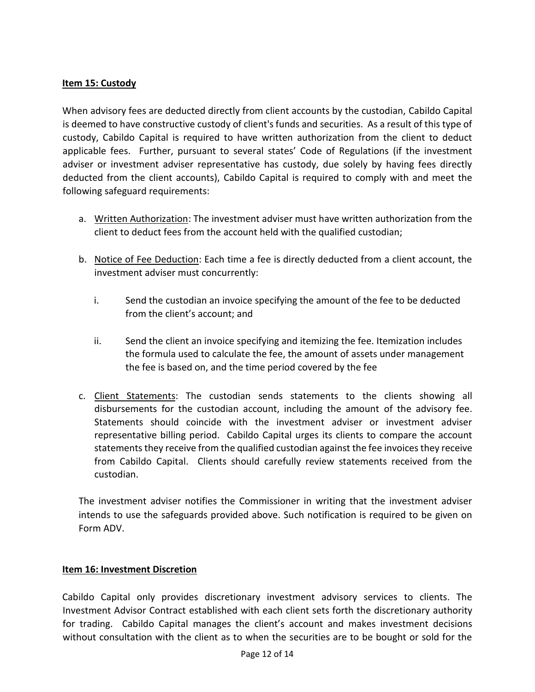#### **Item 15: Custody**

When advisory fees are deducted directly from client accounts by the custodian, Cabildo Capital is deemed to have constructive custody of client's funds and securities. As a result of this type of custody, Cabildo Capital is required to have written authorization from the client to deduct applicable fees. Further, pursuant to several states' Code of Regulations (if the investment adviser or investment adviser representative has custody, due solely by having fees directly deducted from the client accounts), Cabildo Capital is required to comply with and meet the following safeguard requirements:

- a. Written Authorization: The investment adviser must have written authorization from the client to deduct fees from the account held with the qualified custodian;
- b. Notice of Fee Deduction: Each time a fee is directly deducted from a client account, the investment adviser must concurrently:
	- i. Send the custodian an invoice specifying the amount of the fee to be deducted from the client's account; and
	- ii. Send the client an invoice specifying and itemizing the fee. Itemization includes the formula used to calculate the fee, the amount of assets under management the fee is based on, and the time period covered by the fee
- c. Client Statements: The custodian sends statements to the clients showing all disbursements for the custodian account, including the amount of the advisory fee. Statements should coincide with the investment adviser or investment adviser representative billing period. Cabildo Capital urges its clients to compare the account statements they receive from the qualified custodian against the fee invoices they receive from Cabildo Capital. Clients should carefully review statements received from the custodian.

The investment adviser notifies the Commissioner in writing that the investment adviser intends to use the safeguards provided above. Such notification is required to be given on Form ADV.

#### **Item 16: Investment Discretion**

Cabildo Capital only provides discretionary investment advisory services to clients. The Investment Advisor Contract established with each client sets forth the discretionary authority for trading. Cabildo Capital manages the client's account and makes investment decisions without consultation with the client as to when the securities are to be bought or sold for the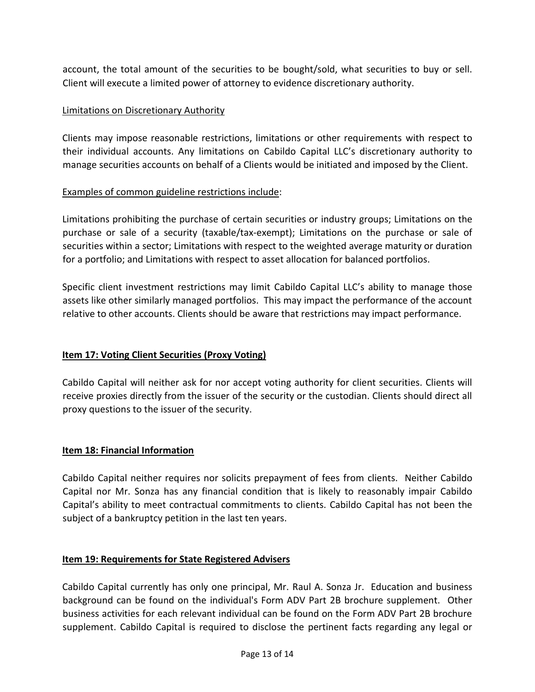account, the total amount of the securities to be bought/sold, what securities to buy or sell. Client will execute a limited power of attorney to evidence discretionary authority.

#### Limitations on Discretionary Authority

Clients may impose reasonable restrictions, limitations or other requirements with respect to their individual accounts. Any limitations on Cabildo Capital LLC's discretionary authority to manage securities accounts on behalf of a Clients would be initiated and imposed by the Client.

#### Examples of common guideline restrictions include:

Limitations prohibiting the purchase of certain securities or industry groups; Limitations on the purchase or sale of a security (taxable/tax-exempt); Limitations on the purchase or sale of securities within a sector; Limitations with respect to the weighted average maturity or duration for a portfolio; and Limitations with respect to asset allocation for balanced portfolios.

Specific client investment restrictions may limit Cabildo Capital LLC's ability to manage those assets like other similarly managed portfolios. This may impact the performance of the account relative to other accounts. Clients should be aware that restrictions may impact performance.

# **Item 17: Voting Client Securities (Proxy Voting)**

Cabildo Capital will neither ask for nor accept voting authority for client securities. Clients will receive proxies directly from the issuer of the security or the custodian. Clients should direct all proxy questions to the issuer of the security.

#### **Item 18: Financial Information**

Cabildo Capital neither requires nor solicits prepayment of fees from clients. Neither Cabildo Capital nor Mr. Sonza has any financial condition that is likely to reasonably impair Cabildo Capital's ability to meet contractual commitments to clients. Cabildo Capital has not been the subject of a bankruptcy petition in the last ten years.

#### **Item 19: Requirements for State Registered Advisers**

Cabildo Capital currently has only one principal, Mr. Raul A. Sonza Jr. Education and business background can be found on the individual's Form ADV Part 2B brochure supplement. Other business activities for each relevant individual can be found on the Form ADV Part 2B brochure supplement. Cabildo Capital is required to disclose the pertinent facts regarding any legal or